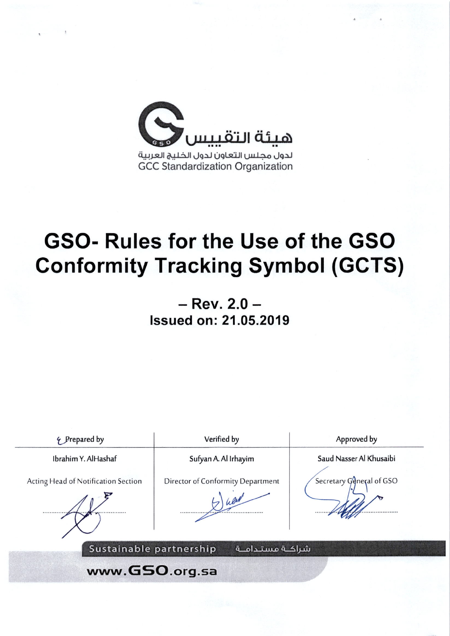

 $-$  Rev. 2.0  $-$ **Issued on: 21.05.2019** 

4 Prepared by Verified by Approved by Saud Nasser Al Khusaibi Ibrahim Y. AlHashaf Sufyan A. Al Irhayim Secretary General of GSO Acting Head of Notification Section Director of Conformity Department Sustainable partnership شراكــة مستـدامــة www.GSO.org.sa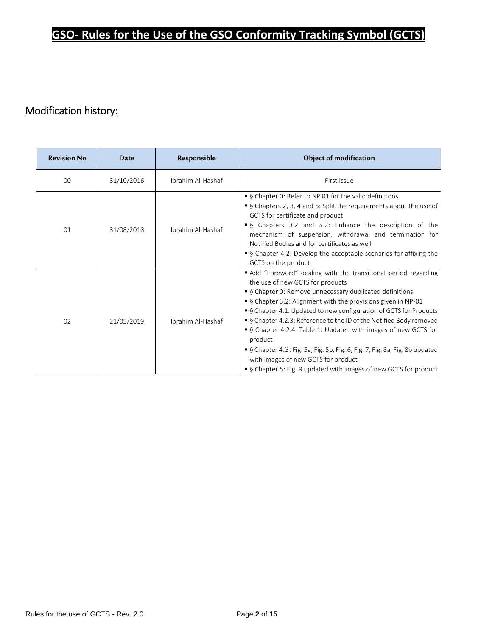## Modification history:

| <b>Revision No</b> | Date       | Responsible       | Object of modification                                                                                                                                                                                                                                                                                                                                                                                                                                                                                                                                                                                                                                                                                                                                                                                                                                                                                                                                                                                                                                                                     |  |
|--------------------|------------|-------------------|--------------------------------------------------------------------------------------------------------------------------------------------------------------------------------------------------------------------------------------------------------------------------------------------------------------------------------------------------------------------------------------------------------------------------------------------------------------------------------------------------------------------------------------------------------------------------------------------------------------------------------------------------------------------------------------------------------------------------------------------------------------------------------------------------------------------------------------------------------------------------------------------------------------------------------------------------------------------------------------------------------------------------------------------------------------------------------------------|--|
| $00 \,$            | 31/10/2016 | Ibrahim Al-Hashaf | First issue                                                                                                                                                                                                                                                                                                                                                                                                                                                                                                                                                                                                                                                                                                                                                                                                                                                                                                                                                                                                                                                                                |  |
| 01                 | 31/08/2018 | Ibrahim Al-Hashaf | • § Chapter 0: Refer to NP 01 for the valid definitions<br>■ § Chapters 2, 3, 4 and 5: Split the requirements about the use of<br>GCTS for certificate and product<br>• § Chapters 3.2 and 5.2: Enhance the description of the<br>mechanism of suspension, withdrawal and termination for<br>Notified Bodies and for certificates as well<br>• § Chapter 4.2: Develop the acceptable scenarios for affixing the<br>GCTS on the product<br>• Add "Foreword" dealing with the transitional period regarding<br>the use of new GCTS for products<br>• § Chapter 0: Remove unnecessary duplicated definitions<br>• § Chapter 3.2: Alignment with the provisions given in NP-01<br>■ § Chapter 4.1: Updated to new configuration of GCTS for Products<br>■ § Chapter 4.2.3: Reference to the ID of the Notified Body removed<br>S Chapter 4.2.4: Table 1: Updated with images of new GCTS for<br>product<br>S Chapter 4.3: Fig. 5a, Fig. 5b, Fig. 6, Fig. 7, Fig. 8a, Fig. 8b updated<br>with images of new GCTS for product<br>S Chapter 5: Fig. 9 updated with images of new GCTS for product |  |
| 02                 | 21/05/2019 | Ibrahim Al-Hashaf |                                                                                                                                                                                                                                                                                                                                                                                                                                                                                                                                                                                                                                                                                                                                                                                                                                                                                                                                                                                                                                                                                            |  |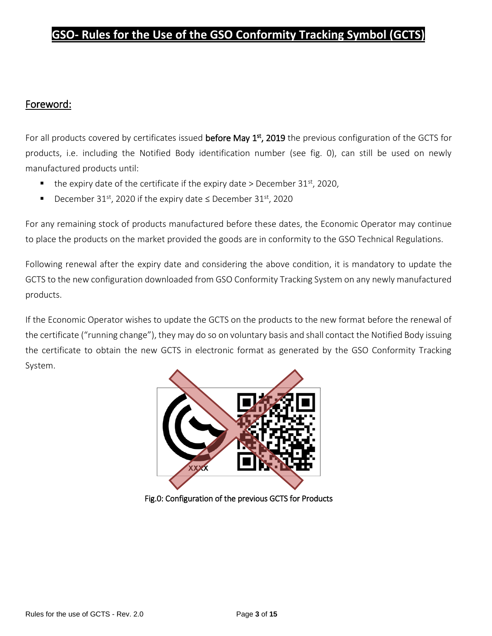#### Foreword:

For all products covered by certificates issued **before May 1<sup>st</sup>, 2019** the previous configuration of the GCTS for products, i.e. including the Notified Body identification number (see fig. 0), can still be used on newly manufactured products until:

- $\blacksquare$  the expiry date of the certificate if the expiry date > December 31<sup>st</sup>, 2020,
- December 31<sup>st</sup>, 2020 if the expiry date ≤ December 31<sup>st</sup>, 2020

For any remaining stock of products manufactured before these dates, the Economic Operator may continue to place the products on the market provided the goods are in conformity to the GSO Technical Regulations.

Following renewal after the expiry date and considering the above condition, it is mandatory to update the GCTS to the new configuration downloaded from GSO Conformity Tracking System on any newly manufactured products.

If the Economic Operator wishes to update the GCTS on the products to the new format before the renewal of the certificate ("running change"), they may do so on voluntary basis and shall contact the Notified Body issuing the certificate to obtain the new GCTS in electronic format as generated by the GSO Conformity Tracking System.



Fig.0: Configuration of the previous GCTS for Products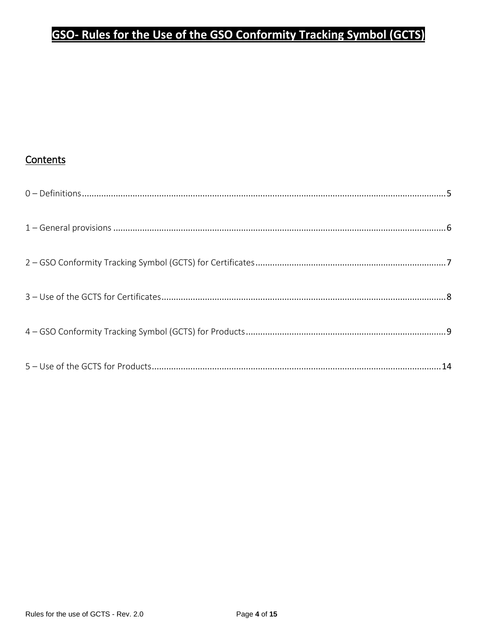#### Contents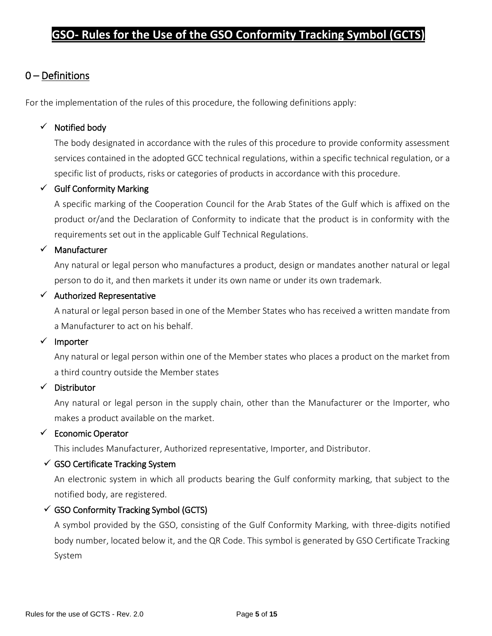#### 0 – Definitions

For the implementation of the rules of this procedure, the following definitions apply:

#### $\checkmark$  Notified body

The body designated in accordance with the rules of this procedure to provide conformity assessment services contained in the adopted GCC technical regulations, within a specific technical regulation, or a specific list of products, risks or categories of products in accordance with this procedure.

#### $\checkmark$  Gulf Conformity Marking

A specific marking of the Cooperation Council for the Arab States of the Gulf which is affixed on the product or/and the Declaration of Conformity to indicate that the product is in conformity with the requirements set out in the applicable Gulf Technical Regulations.

#### ✓ Manufacturer

Any natural or legal person who manufactures a product, design or mandates another natural or legal person to do it, and then markets it under its own name or under its own trademark.

#### $\checkmark$  Authorized Representative

A natural or legal person based in one of the Member States who has received a written mandate from a Manufacturer to act on his behalf.

#### ✓ Importer

Any natural or legal person within one of the Member states who places a product on the market from a third country outside the Member states

#### ✓ Distributor

Any natural or legal person in the supply chain, other than the Manufacturer or the Importer, who makes a product available on the market.

#### ✓ Economic Operator

This includes Manufacturer, Authorized representative, Importer, and Distributor.

#### $\checkmark$  GSO Certificate Tracking System

An electronic system in which all products bearing the Gulf conformity marking, that subject to the notified body, are registered.

#### $\checkmark$  GSO Conformity Tracking Symbol (GCTS)

A symbol provided by the GSO, consisting of the Gulf Conformity Marking, with three-digits notified body number, located below it, and the QR Code. This symbol is generated by GSO Certificate Tracking System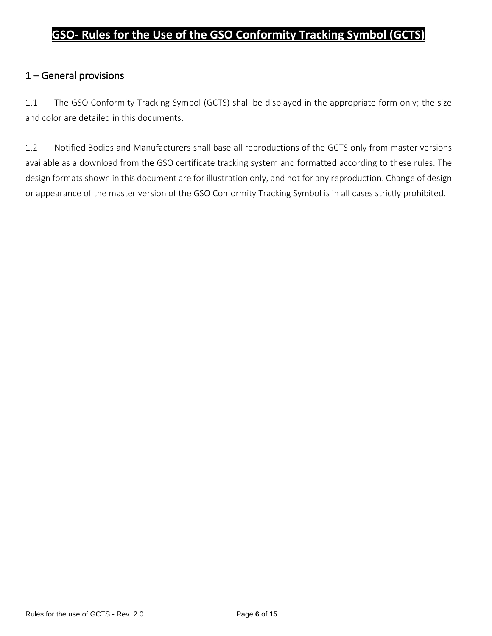### 1 – General provisions

1.1 The GSO Conformity Tracking Symbol (GCTS) shall be displayed in the appropriate form only; the size and color are detailed in this documents.

1.2 Notified Bodies and Manufacturers shall base all reproductions of the GCTS only from master versions available as a download from the GSO certificate tracking system and formatted according to these rules. The design formats shown in this document are for illustration only, and not for any reproduction. Change of design or appearance of the master version of the GSO Conformity Tracking Symbol is in all cases strictly prohibited.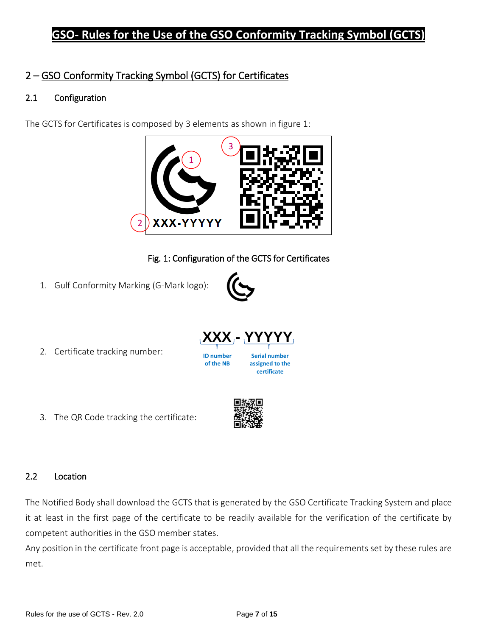## 2 – GSO Conformity Tracking Symbol (GCTS) for Certificates

#### 2.1 Configuration

The GCTS for Certificates is composed by 3 elements as shown in figure 1:



Fig. 1: Configuration of the GCTS for Certificates

1. Gulf Conformity Marking (G-Mark logo):



**certificate**

2. Certificate tracking number:

3. The QR Code tracking the certificate:

**of the NB**



2.2 Location

The Notified Body shall download the GCTS that is generated by the GSO Certificate Tracking System and place it at least in the first page of the certificate to be readily available for the verification of the certificate by competent authorities in the GSO member states.

Any position in the certificate front page is acceptable, provided that all the requirements set by these rules are met.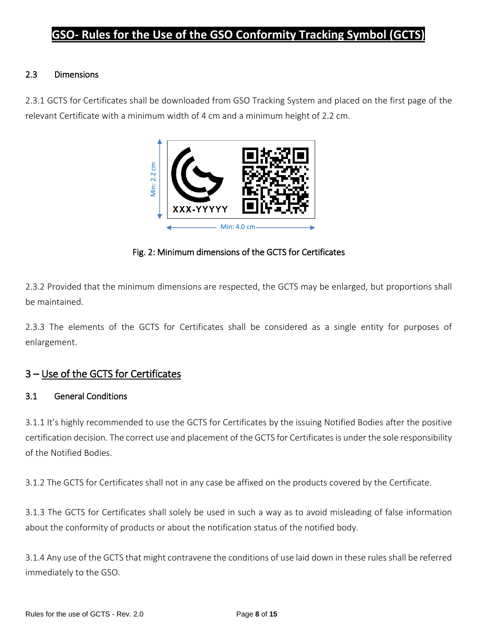#### 2.3 Dimensions

2.3.1 GCTS for Certificates shall be downloaded from GSO Tracking System and placed on the first page of the relevant Certificate with a minimum width of 4 cm and a minimum height of 2.2 cm.



Fig. 2: Minimum dimensions of the GCTS for Certificates

2.3.2 Provided that the minimum dimensions are respected, the GCTS may be enlarged, but proportions shall be maintained.

2.3.3 The elements of the GCTS for Certificates shall be considered as a single entity for purposes of enlargement.

#### 3 – Use of the GCTS for Certificates

#### 3.1 General Conditions

3.1.1 It's highly recommended to use the GCTS for Certificates by the issuing Notified Bodies after the positive certification decision. The correct use and placement of the GCTS for Certificates is under the sole responsibility of the Notified Bodies.

3.1.2 The GCTS for Certificates shall not in any case be affixed on the products covered by the Certificate.

3.1.3 The GCTS for Certificates shall solely be used in such a way as to avoid misleading of false information about the conformity of products or about the notification status of the notified body.

3.1.4 Any use of the GCTS that might contravene the conditions of use laid down in these rules shall be referred immediately to the GSO.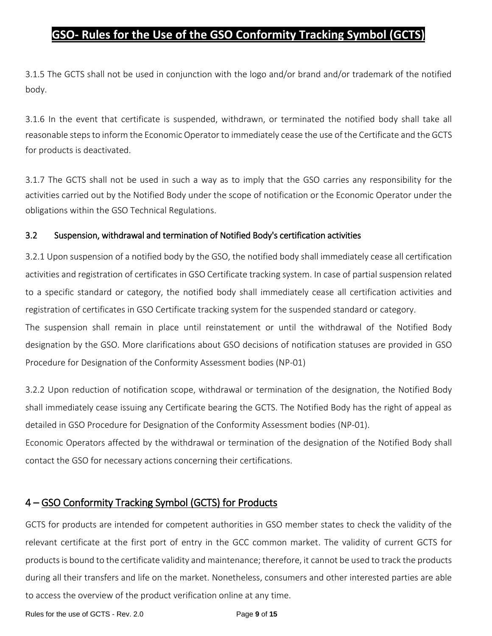3.1.5 The GCTS shall not be used in conjunction with the logo and/or brand and/or trademark of the notified body.

3.1.6 In the event that certificate is suspended, withdrawn, or terminated the notified body shall take all reasonable steps to inform the Economic Operator to immediately cease the use of the Certificate and the GCTS for products is deactivated.

3.1.7 The GCTS shall not be used in such a way as to imply that the GSO carries any responsibility for the activities carried out by the Notified Body under the scope of notification or the Economic Operator under the obligations within the GSO Technical Regulations.

#### 3.2 Suspension, withdrawal and termination of Notified Body's certification activities

3.2.1 Upon suspension of a notified body by the GSO, the notified body shall immediately cease all certification activities and registration of certificates in GSO Certificate tracking system. In case of partial suspension related to a specific standard or category, the notified body shall immediately cease all certification activities and registration of certificates in GSO Certificate tracking system for the suspended standard or category.

The suspension shall remain in place until reinstatement or until the withdrawal of the Notified Body designation by the GSO. More clarifications about GSO decisions of notification statuses are provided in GSO Procedure for Designation of the Conformity Assessment bodies (NP-01)

3.2.2 Upon reduction of notification scope, withdrawal or termination of the designation, the Notified Body shall immediately cease issuing any Certificate bearing the GCTS. The Notified Body has the right of appeal as detailed in GSO Procedure for Designation of the Conformity Assessment bodies (NP-01).

Economic Operators affected by the withdrawal or termination of the designation of the Notified Body shall contact the GSO for necessary actions concerning their certifications.

## 4 – GSO Conformity Tracking Symbol (GCTS) for Products

GCTS for products are intended for competent authorities in GSO member states to check the validity of the relevant certificate at the first port of entry in the GCC common market. The validity of current GCTS for products is bound to the certificate validity and maintenance; therefore, it cannot be used to track the products during all their transfers and life on the market. Nonetheless, consumers and other interested parties are able to access the overview of the product verification online at any time.

Rules for the use of GCTS - Rev. 2.0 Page **9** of **15**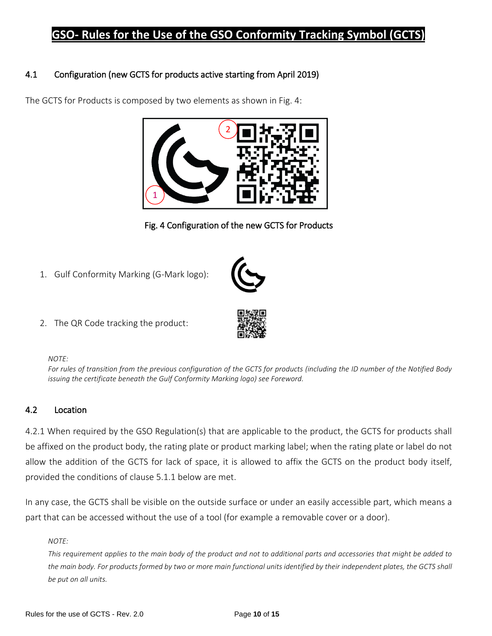#### 4.1 Configuration (new GCTS for products active starting from April 2019)



The GCTS for Products is composed by two elements as shown in Fig. 4:

Fig. 4 Configuration of the new GCTS for Products

1. Gulf Conformity Marking (G-Mark logo):



2. The QR Code tracking the product:

#### *NOTE:*

*For rules of transition from the previous configuration of the GCTS for products (including the ID number of the Notified Body issuing the certificate beneath the Gulf Conformity Marking logo) see Foreword.*

#### 4.2 Location

4.2.1 When required by the GSO Regulation(s) that are applicable to the product, the GCTS for products shall be affixed on the product body, the rating plate or product marking label; when the rating plate or label do not allow the addition of the GCTS for lack of space, it is allowed to affix the GCTS on the product body itself, provided the conditions of clause 5.1.1 below are met.

In any case, the GCTS shall be visible on the outside surface or under an easily accessible part, which means a part that can be accessed without the use of a tool (for example a removable cover or a door).

#### *NOTE:*

*This requirement applies to the main body of the product and not to additional parts and accessories that might be added to the main body. For products formed by two or more main functional units identified by their independent plates, the GCTS shall be put on all units.*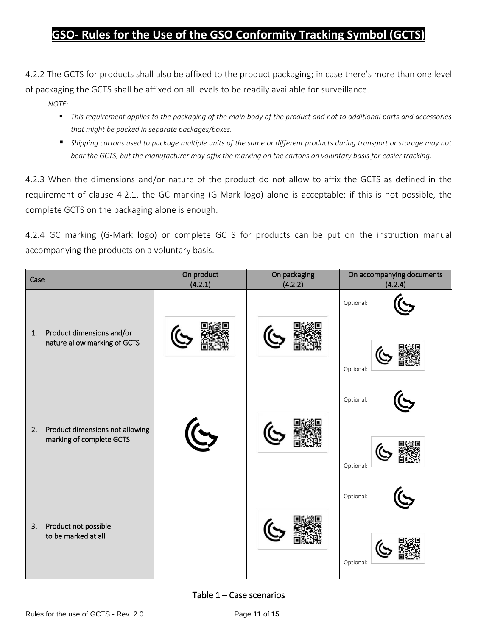4.2.2 The GCTS for products shall also be affixed to the product packaging; in case there's more than one level of packaging the GCTS shall be affixed on all levels to be readily available for surveillance.

*NOTE:*

- This requirement applies to the packaging of the main body of the product and not to additional parts and accessories *that might be packed in separate packages/boxes.*
- *Shipping cartons used to package multiple units of the same or different products during transport or storage may not bear the GCTS, but the manufacturer may affix the marking on the cartons on voluntary basis for easier tracking.*

4.2.3 When the dimensions and/or nature of the product do not allow to affix the GCTS as defined in the requirement of clause 4.2.1, the GC marking (G-Mark logo) alone is acceptable; if this is not possible, the complete GCTS on the packaging alone is enough.

4.2.4 GC marking (G-Mark logo) or complete GCTS for products can be put on the instruction manual accompanying the products on a voluntary basis.

| Case                                                              | On product<br>(4.2.1) | On packaging<br>(4.2.2) | On accompanying documents<br>(4.2.4) |
|-------------------------------------------------------------------|-----------------------|-------------------------|--------------------------------------|
| Product dimensions and/or<br>1.<br>nature allow marking of GCTS   |                       |                         | Optional:<br>Optional:               |
| Product dimensions not allowing<br>2.<br>marking of complete GCTS |                       |                         | Optional:<br>Optional:               |
| Product not possible<br>3.<br>to be marked at all                 |                       |                         | Optional:<br>Optional:               |

#### Table  $1 -$  Case scenarios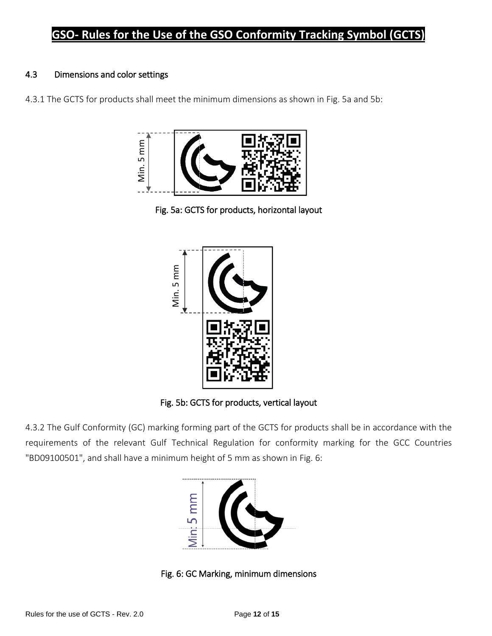#### 4.3 Dimensions and color settings

4.3.1 The GCTS for products shall meet the minimum dimensions as shown in Fig. 5a and 5b:



Fig. 5a: GCTS for products, horizontal layout



Fig. 5b: GCTS for products, vertical layout

4.3.2 The Gulf Conformity (GC) marking forming part of the GCTS for products shall be in accordance with the requirements of the relevant Gulf Technical Regulation for conformity marking for the GCC Countries "BD09100501", and shall have a minimum height of 5 mm as shown in Fig. 6:

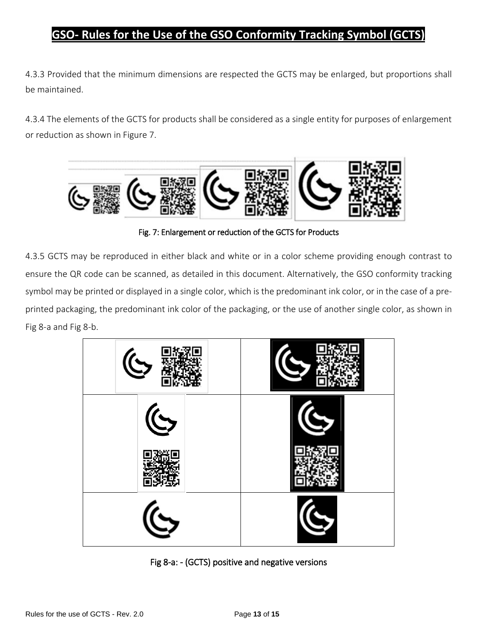4.3.3 Provided that the minimum dimensions are respected the GCTS may be enlarged, but proportions shall be maintained.

4.3.4 The elements of the GCTS for products shall be considered as a single entity for purposes of enlargement or reduction as shown in Figure 7.



Fig. 7: Enlargement or reduction of the GCTS for Products

4.3.5 GCTS may be reproduced in either black and white or in a color scheme providing enough contrast to ensure the QR code can be scanned, as detailed in this document. Alternatively, the GSO conformity tracking symbol may be printed or displayed in a single color, which is the predominant ink color, or in the case of a preprinted packaging, the predominant ink color of the packaging, or the use of another single color, as shown in Fig 8-a and Fig 8-b.



Fig 8-a: - (GCTS) positive and negative versions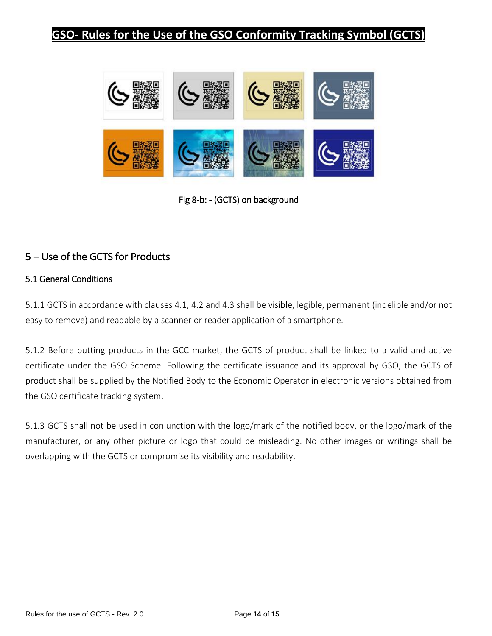

Fig 8-b: - (GCTS) on background

### 5 – Use of the GCTS for Products

#### 5.1 General Conditions

5.1.1 GCTS in accordance with clauses 4.1, 4.2 and 4.3 shall be visible, legible, permanent (indelible and/or not easy to remove) and readable by a scanner or reader application of a smartphone.

5.1.2 Before putting products in the GCC market, the GCTS of product shall be linked to a valid and active certificate under the GSO Scheme. Following the certificate issuance and its approval by GSO, the GCTS of product shall be supplied by the Notified Body to the Economic Operator in electronic versions obtained from the GSO certificate tracking system.

5.1.3 GCTS shall not be used in conjunction with the logo/mark of the notified body, or the logo/mark of the manufacturer, or any other picture or logo that could be misleading. No other images or writings shall be overlapping with the GCTS or compromise its visibility and readability.